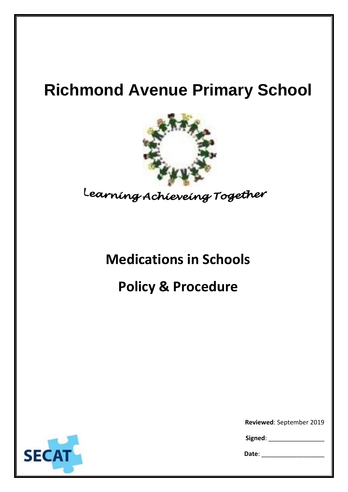# **Richmond Avenue Primary School**



Learning Achieveing Together

### **Medications in Schools**

## **Policy & Procedure**



**Reviewed**: September 2019\_\_

Signed:

**Date**: \_\_\_\_\_\_\_\_\_\_\_\_\_\_\_\_\_\_\_\_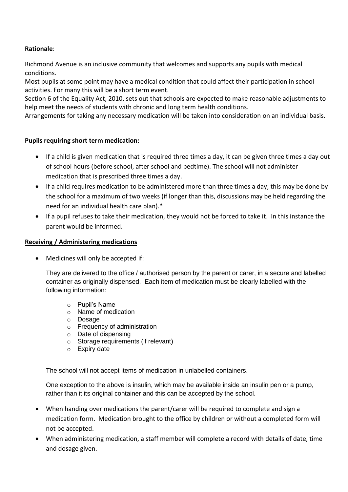#### **Rationale**:

Richmond Avenue is an inclusive community that welcomes and supports any pupils with medical conditions.

Most pupils at some point may have a medical condition that could affect their participation in school activities. For many this will be a short term event.

Section 6 of the Equality Act, 2010, sets out that schools are expected to make reasonable adjustments to help meet the needs of students with chronic and long term health conditions.

Arrangements for taking any necessary medication will be taken into consideration on an individual basis.

#### **Pupils requiring short term medication:**

- If a child is given medication that is required three times a day, it can be given three times a day out of school hours (before school, after school and bedtime). The school will not administer medication that is prescribed three times a day.
- If a child requires medication to be administered more than three times a day; this may be done by the school for a maximum of two weeks (if longer than this, discussions may be held regarding the need for an individual health care plan).\*
- If a pupil refuses to take their medication, they would not be forced to take it. In this instance the parent would be informed.

#### **Receiving / Administering medications**

Medicines will only be accepted if:

They are delivered to the office / authorised person by the parent or carer, in a secure and labelled container as originally dispensed. Each item of medication must be clearly labelled with the following information:

- o Pupil's Name
- o Name of medication
- o Dosage
- o Frequency of administration
- o Date of dispensing
- o Storage requirements (if relevant)
- o Expiry date

The school will not accept items of medication in unlabelled containers.

One exception to the above is insulin, which may be available inside an insulin pen or a pump, rather than it its original container and this can be accepted by the school.

- When handing over medications the parent/carer will be required to complete and sign a medication form. Medication brought to the office by children or without a completed form will not be accepted.
- When administering medication, a staff member will complete a record with details of date, time and dosage given.